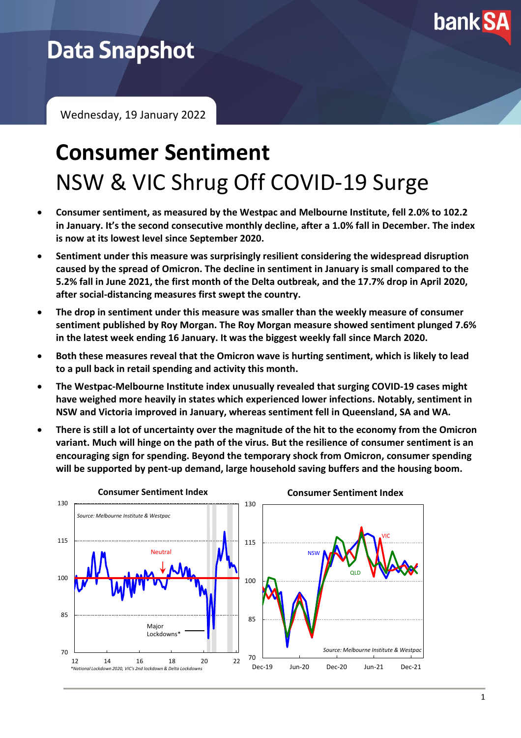

# **Data Snapshot**

Wednesday, 19 January 2022

# **Consumer Sentiment** NSW & VIC Shrug Off COVID-19 Surge

- **Consumer sentiment, as measured by the Westpac and Melbourne Institute, fell 2.0% to 102.2 in January. It's the second consecutive monthly decline, after a 1.0% fall in December. The index is now at its lowest level since September 2020.**
- **Sentiment under this measure was surprisingly resilient considering the widespread disruption caused by the spread of Omicron. The decline in sentiment in January is small compared to the 5.2% fall in June 2021, the first month of the Delta outbreak, and the 17.7% drop in April 2020, after social-distancing measures first swept the country.**
- **The drop in sentiment under this measure was smaller than the weekly measure of consumer sentiment published by Roy Morgan. The Roy Morgan measure showed sentiment plunged 7.6% in the latest week ending 16 January. It was the biggest weekly fall since March 2020.**
- **Both these measures reveal that the Omicron wave is hurting sentiment, which is likely to lead to a pull back in retail spending and activity this month.**
- **The Westpac-Melbourne Institute index unusually revealed that surging COVID-19 cases might have weighed more heavily in states which experienced lower infections. Notably, sentiment in NSW and Victoria improved in January, whereas sentiment fell in Queensland, SA and WA.**
- **There is still a lot of uncertainty over the magnitude of the hit to the economy from the Omicron variant. Much will hinge on the path of the virus. But the resilience of consumer sentiment is an encouraging sign for spending. Beyond the temporary shock from Omicron, consumer spending will be supported by pent-up demand, large household saving buffers and the housing boom.**

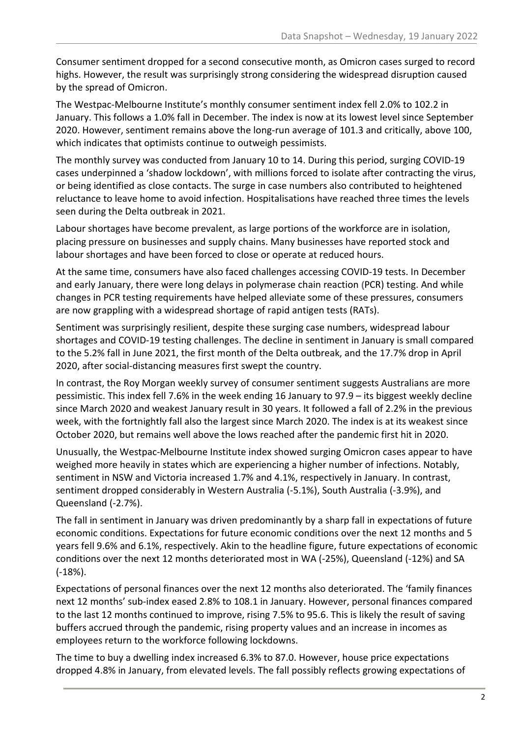Consumer sentiment dropped for a second consecutive month, as Omicron cases surged to record highs. However, the result was surprisingly strong considering the widespread disruption caused by the spread of Omicron.

The Westpac-Melbourne Institute's monthly consumer sentiment index fell 2.0% to 102.2 in January. This follows a 1.0% fall in December. The index is now at its lowest level since September 2020. However, sentiment remains above the long-run average of 101.3 and critically, above 100, which indicates that optimists continue to outweigh pessimists.

The monthly survey was conducted from January 10 to 14. During this period, surging COVID-19 cases underpinned a 'shadow lockdown', with millions forced to isolate after contracting the virus, or being identified as close contacts. The surge in case numbers also contributed to heightened reluctance to leave home to avoid infection. Hospitalisations have reached three times the levels seen during the Delta outbreak in 2021.

Labour shortages have become prevalent, as large portions of the workforce are in isolation, placing pressure on businesses and supply chains. Many businesses have reported stock and labour shortages and have been forced to close or operate at reduced hours.

At the same time, consumers have also faced challenges accessing COVID-19 tests. In December and early January, there were long delays in polymerase chain reaction **(**PCR) testing. And while changes in PCR testing requirements have helped alleviate some of these pressures, consumers are now grappling with a widespread shortage of rapid antigen tests (RATs).

Sentiment was surprisingly resilient, despite these surging case numbers, widespread labour shortages and COVID-19 testing challenges. The decline in sentiment in January is small compared to the 5.2% fall in June 2021, the first month of the Delta outbreak, and the 17.7% drop in April 2020, after social-distancing measures first swept the country.

In contrast, the Roy Morgan weekly survey of consumer sentiment suggests Australians are more pessimistic. This index fell 7.6% in the week ending 16 January to 97.9 – its biggest weekly decline since March 2020 and weakest January result in 30 years. It followed a fall of 2.2% in the previous week, with the fortnightly fall also the largest since March 2020. The index is at its weakest since October 2020, but remains well above the lows reached after the pandemic first hit in 2020.

Unusually, the Westpac-Melbourne Institute index showed surging Omicron cases appear to have weighed more heavily in states which are experiencing a higher number of infections. Notably, sentiment in NSW and Victoria increased 1.7% and 4.1%, respectively in January. In contrast, sentiment dropped considerably in Western Australia (-5.1%), South Australia (-3.9%), and Queensland (-2.7%).

The fall in sentiment in January was driven predominantly by a sharp fall in expectations of future economic conditions. Expectations for future economic conditions over the next 12 months and 5 years fell 9.6% and 6.1%, respectively. Akin to the headline figure, future expectations of economic conditions over the next 12 months deteriorated most in WA (-25%), Queensland (-12%) and SA (-18%).

Expectations of personal finances over the next 12 months also deteriorated. The 'family finances next 12 months' sub-index eased 2.8% to 108.1 in January. However, personal finances compared to the last 12 months continued to improve, rising 7.5% to 95.6. This is likely the result of saving buffers accrued through the pandemic, rising property values and an increase in incomes as employees return to the workforce following lockdowns.

The time to buy a dwelling index increased 6.3% to 87.0. However, house price expectations dropped 4.8% in January, from elevated levels. The fall possibly reflects growing expectations of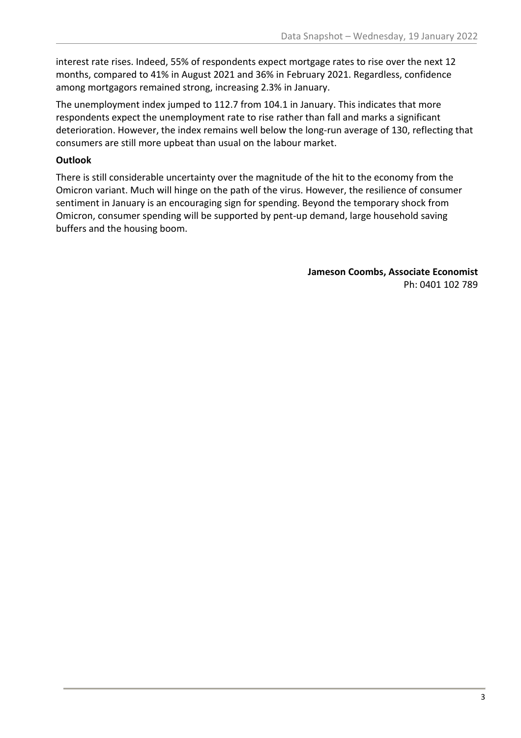interest rate rises. Indeed, 55% of respondents expect mortgage rates to rise over the next 12 months, compared to 41% in August 2021 and 36% in February 2021. Regardless, confidence among mortgagors remained strong, increasing 2.3% in January.

The unemployment index jumped to 112.7 from 104.1 in January. This indicates that more respondents expect the unemployment rate to rise rather than fall and marks a significant deterioration. However, the index remains well below the long-run average of 130, reflecting that consumers are still more upbeat than usual on the labour market.

## **Outlook**

There is still considerable uncertainty over the magnitude of the hit to the economy from the Omicron variant. Much will hinge on the path of the virus. However, the resilience of consumer sentiment in January is an encouraging sign for spending. Beyond the temporary shock from Omicron, consumer spending will be supported by pent-up demand, large household saving buffers and the housing boom.

> **Jameson Coombs, Associate Economist** Ph: 0401 102 789